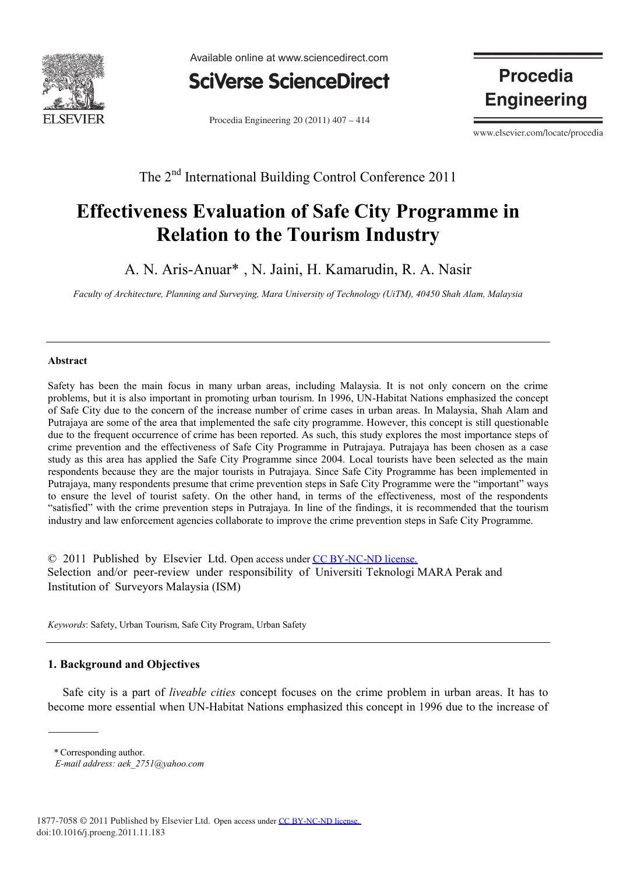

Available online at www.sciencedirect.com



Procedia Engineering  $20(2011)$   $407 - 414$ 

**Procedia Engineering** 

www.elsevier.com/locate/procedia

The 2<sup>nd</sup> International Building Control Conference 2011

# **Effectiveness Evaluation of Safe City Programme in Relation to the Tourism Industry**

A. N. Aris-Anuar\*, N. Jaini, H. Kamarudin, R. A. Nasir

*Faculty of Architecture, Planning and Surveying, Mara University of Technology (UiTM), 40450 Shah Alam, Malaysia*

### **Abstract**

Safety has been the main focus in many urban areas, including Malaysia. It is not only concern on the crime problems, but it is also important in promoting urban tourism. In 1996, UN-Habitat Nations emphasized the concept of Safe City due to the concern of the increase number of crime cases in urban areas. In Malaysia, Shah Alam and Putrajaya are some of the area that implemented the safe city programme. However, this concept is still questionable due to the frequent occurrence of crime has been reported. As such, this study explores the most importance steps of crime prevention and the effectiveness of Safe City Programme in Putrajaya. Putrajaya has been chosen as a case study as this area has applied the Safe City Programme since 2004. Local tourists have been selected as the main respondents because they are the major tourists in Putrajaya. Since Safe City Programme has been implemented in Putrajaya, many respondents presume that crime prevention steps in Safe City Programme were the "important" ways to ensure the level of tourist safety. On the other hand, in terms of the effectiveness, most of the respondents "satisfied" with the crime prevention steps in Putrajaya. In line of the findings, it is recommended that the tourism industry and law enforcement agencies collaborate to improve the crime prevention steps in Safe City Programme.

© 2011 Published by Elsevier Ltd. Open access under [CC BY-NC-ND license.](http://creativecommons.org/licenses/by-nc-nd/3.0/)Selection and/or peer-review under responsibility of Universiti Teknologi MARA Perak and Institution of Surveyors Malaysia (ISM)

*Keywords*: Safety, Urban Tourism, Safe City Program, Urban Safety

## **1. Background and Objectives**

 Safe city is a part of *liveable cities* concept focuses on the crime problem in urban areas. It has to become more essential when UN-Habitat Nations emphasized this concept in 1996 due to the increase of

*<sup>a</sup> \** Corresponding author.

*E-mail address: aek\_2751@yahoo.com*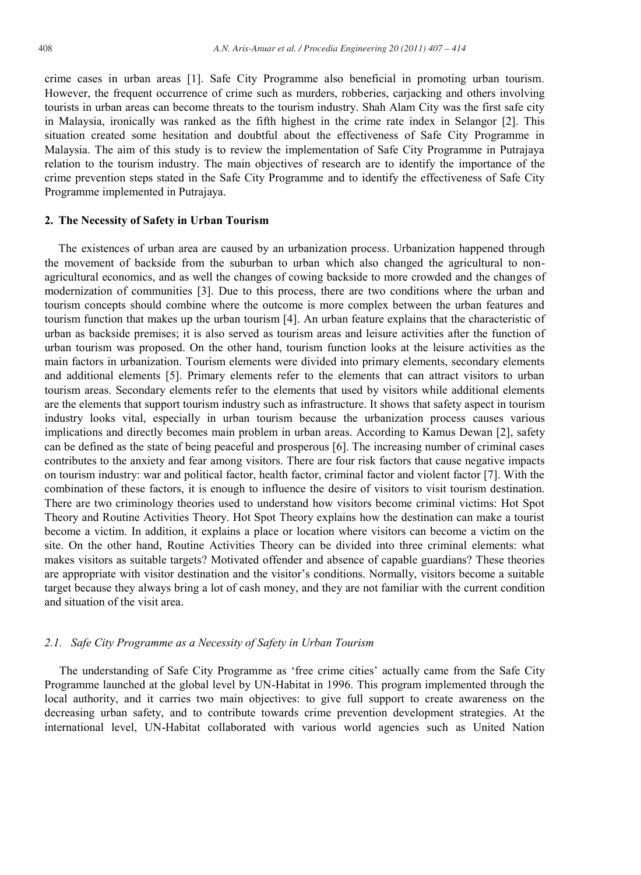crime cases in urban areas [1]. Safe City Programme also beneficial in promoting urban tourism. However, the frequent occurrence of crime such as murders, robberies, carjacking and others involving tourists in urban areas can become threats to the tourism industry. Shah Alam City was the first safe city in Malaysia, ironically was ranked as the fifth highest in the crime rate index in Selangor [2]. This situation created some hesitation and doubtful about the effectiveness of Safe City Programme in Malaysia. The aim of this study is to review the implementation of Safe City Programme in Putrajaya relation to the tourism industry. The main objectives of research are to identify the importance of the crime prevention steps stated in the Safe City Programme and to identify the effectiveness of Safe City Programme implemented in Putrajaya.

### **2. The Necessity of Safety in Urban Tourism**

The existences of urban area are caused by an urbanization process. Urbanization happened through the movement of backside from the suburban to urban which also changed the agricultural to nonagricultural economics, and as well the changes of cowing backside to more crowded and the changes of modernization of communities [3]. Due to this process, there are two conditions where the urban and tourism concepts should combine where the outcome is more complex between the urban features and tourism function that makes up the urban tourism [4]. An urban feature explains that the characteristic of urban as backside premises; it is also served as tourism areas and leisure activities after the function of urban tourism was proposed. On the other hand, tourism function looks at the leisure activities as the main factors in urbanization. Tourism elements were divided into primary elements, secondary elements and additional elements [5]. Primary elements refer to the elements that can attract visitors to urban tourism areas. Secondary elements refer to the elements that used by visitors while additional elements are the elements that support tourism industry such as infrastructure. It shows that safety aspect in tourism industry looks vital, especially in urban tourism because the urbanization process causes various implications and directly becomes main problem in urban areas. According to Kamus Dewan [2], safety can be defined as the state of being peaceful and prosperous [6]. The increasing number of criminal cases contributes to the anxiety and fear among visitors. There are four risk factors that cause negative impacts on tourism industry: war and political factor, health factor, criminal factor and violent factor [7]. With the combination of these factors, it is enough to influence the desire of visitors to visit tourism destination. There are two criminology theories used to understand how visitors become criminal victims: Hot Spot Theory and Routine Activities Theory. Hot Spot Theory explains how the destination can make a tourist become a victim. In addition, it explains a place or location where visitors can become a victim on the site. On the other hand, Routine Activities Theory can be divided into three criminal elements: what makes visitors as suitable targets? Motivated offender and absence of capable guardians? These theories are appropriate with visitor destination and the visitor's conditions. Normally, visitors become a suitable target because they always bring a lot of cash money, and they are not familiar with the current condition and situation of the visit area.

### *2.1. Safe City Programme as a Necessity of Safety in Urban Tourism*

The understanding of Safe City Programme as "free crime cities" actually came from the Safe City Programme launched at the global level by UN-Habitat in 1996. This program implemented through the local authority, and it carries two main objectives: to give full support to create awareness on the decreasing urban safety, and to contribute towards crime prevention development strategies. At the international level, UN-Habitat collaborated with various world agencies such as United Nation